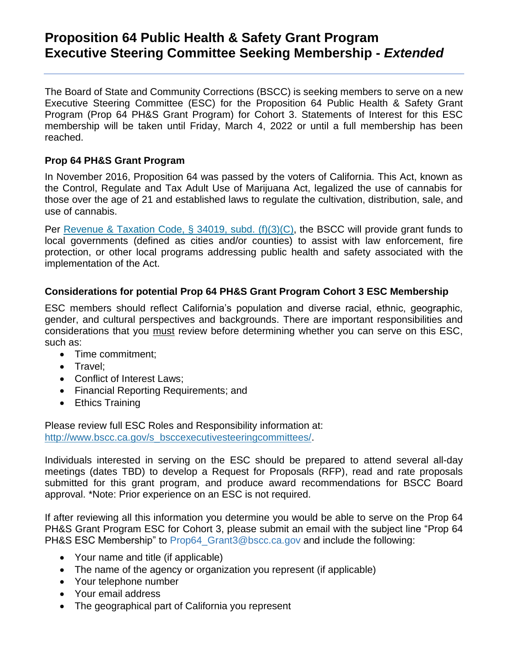## **Proposition 64 Public Health & Safety Grant Program Executive Steering Committee Seeking Membership -** *Extended*

The Board of State and Community Corrections (BSCC) is seeking members to serve on a new Executive Steering Committee (ESC) for the Proposition 64 Public Health & Safety Grant Program (Prop 64 PH&S Grant Program) for Cohort 3. Statements of Interest for this ESC membership will be taken until Friday, March 4, 2022 or until a full membership has been reached.

## **Prop 64 PH&S Grant Program**

In November 2016, Proposition 64 was passed by the voters of California. This Act, known as the Control, Regulate and Tax Adult Use of Marijuana Act, legalized the use of cannabis for those over the age of 21 and established laws to regulate the cultivation, distribution, sale, and use of cannabis.

Per [Revenue](https://leginfo.legislature.ca.gov/faces/codes_displaySection.xhtml?lawCode=RTC§ionNum=34019) & Taxation Code, § 34019, subd. (f)(3)(C), the BSCC will provide grant funds to local governments (defined as cities and/or counties) to assist with law enforcement, fire protection, or other local programs addressing public health and safety associated with the implementation of the Act.

## **Considerations for potential Prop 64 PH&S Grant Program Cohort 3 ESC Membership**

ESC members should reflect California's population and diverse racial, ethnic, geographic, gender, and cultural perspectives and backgrounds. There are important responsibilities and considerations that you must review before determining whether you can serve on this ESC, such as:

- Time commitment;
- Travel:
- Conflict of Interest Laws;
- Financial Reporting Requirements; and
- Ethics Training

Please review full ESC Roles and Responsibility information at: [http://www.bscc.ca.gov/s\\_bsccexecutivesteeringcommittees/.](http://www.bscc.ca.gov/s_bsccexecutivesteeringcommittees/)

Individuals interested in serving on the ESC should be prepared to attend several all-day meetings (dates TBD) to develop a Request for Proposals (RFP), read and rate proposals submitted for this grant program, and produce award recommendations for BSCC Board approval. \*Note: Prior experience on an ESC is not required.

If after reviewing all this information you determine you would be able to serve on the Prop 64 PH&S Grant Program ESC for Cohort 3, please submit an email with the subject line "Prop 64 PH&S ESC Membership" to Prop64 Grant3@bscc.ca.gov and include the following:

- Your name and title (if applicable)
- The name of the agency or organization you represent (if applicable)
- Your telephone number
- Your email address
- The geographical part of California you represent